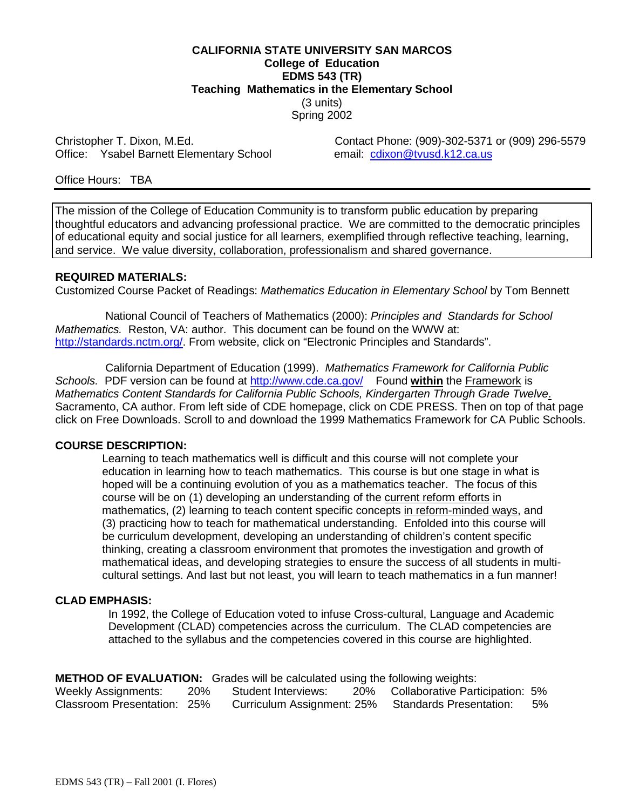#### **CALIFORNIA STATE UNIVERSITY SAN MARCOS College of Education EDMS 543 (TR) Teaching Mathematics in the Elementary School** (3 units) Spring 2002

Office: Ysabel Barnett Elementary School

Christopher T. Dixon, M.Ed. Christopher T. Dixon, M.Ed. Contact Phone: (909)-302-5371 or (909) 296-5579<br>Office: Ysabel Barnett Elementary School email: cdixon@tyusd.k12.ca.us

Office Hours: TBA

The mission of the College of Education Community is to transform public education by preparing thoughtful educators and advancing professional practice. We are committed to the democratic principles of educational equity and social justice for all learners, exemplified through reflective teaching, learning, and service. We value diversity, collaboration, professionalism and shared governance.

#### **REQUIRED MATERIALS:**

Customized Course Packet of Readings: *Mathematics Education in Elementary School* by Tom Bennett

 National Council of Teachers of Mathematics (2000): *Principles and Standards for School Mathematics.* Reston, VA: author. This document can be found on the WWW at: http://standards.nctm.org/. From website, click on "Electronic Principles and Standards".

 California Department of Education (1999). *Mathematics Framework for California Public* Schools. PDF version can be found at http://www.cde.ca.gov/ Found within the Framework is *Mathematics Content Standards for California Public Schools, Kindergarten Through Grade Twelve*. Sacramento, CA author. From left side of CDE homepage, click on CDE PRESS. Then on top of that page click on Free Downloads. Scroll to and download the 1999 Mathematics Framework for CA Public Schools.

#### **COURSE DESCRIPTION:**

Learning to teach mathematics well is difficult and this course will not complete your education in learning how to teach mathematics. This course is but one stage in what is hoped will be a continuing evolution of you as a mathematics teacher. The focus of this course will be on (1) developing an understanding of the current reform efforts in mathematics, (2) learning to teach content specific concepts in reform-minded ways, and (3) practicing how to teach for mathematical understanding. Enfolded into this course will be curriculum development, developing an understanding of children's content specific thinking, creating a classroom environment that promotes the investigation and growth of mathematical ideas, and developing strategies to ensure the success of all students in multi cultural settings. And last but not least, you will learn to teach mathematics in a fun manner!

#### **CLAD EMPHASIS:**

 In 1992, the College of Education voted to infuse Cross-cultural, Language and Academic Development (CLAD) competencies across the curriculum. The CLAD competencies are attached to the syllabus and the competencies covered in this course are highlighted.

|  |  | <b>METHOD OF EVALUATION:</b> Grades will be calculated using the following weights: |  |  |  |  |  |  |  |  |
|--|--|-------------------------------------------------------------------------------------|--|--|--|--|--|--|--|--|
|  |  |                                                                                     |  |  |  |  |  |  |  |  |

| <b>Weekly Assignments:</b>  | 20% | Student Interviews:        | 20% | Collaborative Participation: 5% |       |
|-----------------------------|-----|----------------------------|-----|---------------------------------|-------|
| Classroom Presentation: 25% |     | Curriculum Assignment: 25% |     | <b>Standards Presentation:</b>  | $5\%$ |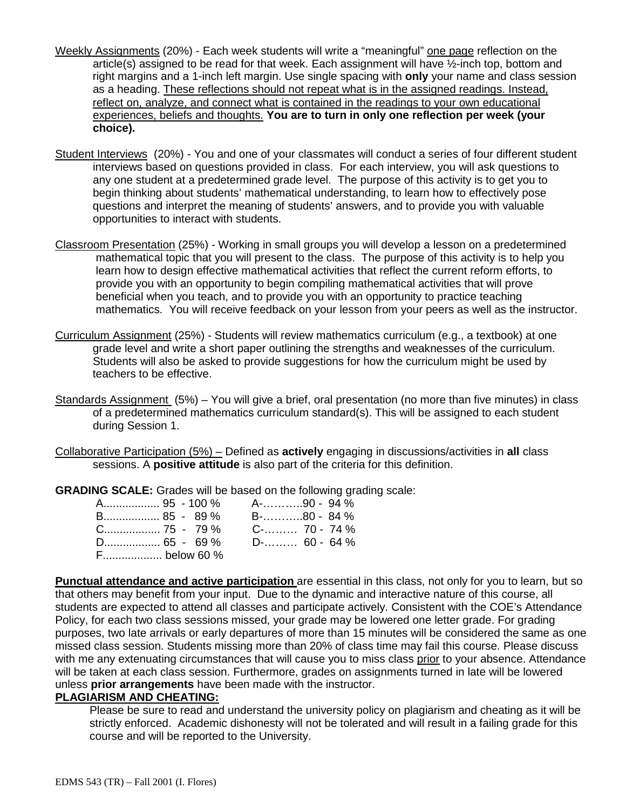- Weekly Assignments (20%) Each week students will write a "meaningful" one page reflection on the article(s) assigned to be read for that week. Each assignment will have ½-inch top, bottom and right margins and a 1-inch left margin. Use single spacing with **only** your name and class session as a heading. These reflections should not repeat what is in the assigned readings. Instead, reflect on, analyze, and connect what is contained in the readings to your own educational experiences, beliefs and thoughts. **You are to turn in only one reflection per week (your choice).**
- Student Interviews (20%) You and one of your classmates will conduct a series of four different student interviews based on questions provided in class. For each interview, you will ask questions to any one student at a predetermined grade level. The purpose of this activity is to get you to begin thinking about students' mathematical understanding, to learn how to effectively pose questions and interpret the meaning of students' answers, and to provide you with valuable opportunities to interact with students.
- Classroom Presentation (25%) Working in small groups you will develop a lesson on a predetermined mathematical topic that you will present to the class. The purpose of this activity is to help you learn how to design effective mathematical activities that reflect the current reform efforts, to provide you with an opportunity to begin compiling mathematical activities that will prove beneficial when you teach, and to provide you with an opportunity to practice teaching mathematics. You will receive feedback on your lesson from your peers as well as the instructor.
- Curriculum Assignment (25%) Students will review mathematics curriculum (e.g., a textbook) at one grade level and write a short paper outlining the strengths and weaknesses of the curriculum. Students will also be asked to provide suggestions for how the curriculum might be used by teachers to be effective.
- Standards Assignment (5%) You will give a brief, oral presentation (no more than five minutes) in class of a predetermined mathematics curriculum standard(s). This will be assigned to each student during Session 1.
- Collaborative Participation (5%) Defined as **actively** engaging in discussions/activities in **all** class sessions. A **positive attitude** is also part of the criteria for this definition.

**GRADING SCALE:** Grades will be based on the following grading scale:

| B 85 - 89 %  |                                  | B-…………80 - 84 % |
|--------------|----------------------------------|-----------------|
|              | $C_{\dots}$ 75 - 79% C- 70 - 74% |                 |
|              |                                  |                 |
| F below 60 % |                                  |                 |

**Punctual attendance and active participation** are essential in this class, not only for you to learn, but so that others may benefit from your input. Due to the dynamic and interactive nature of this course, all students are expected to attend all classes and participate actively. Consistent with the COE's Attendance Policy, for each two class sessions missed, your grade may be lowered one letter grade. For grading purposes, two late arrivals or early departures of more than 15 minutes will be considered the same as one missed class session. Students missing more than 20% of class time may fail this course. Please discuss with me any extenuating circumstances that will cause you to miss class prior to your absence. Attendance will be taken at each class session. Furthermore, grades on assignments turned in late will be lowered unless **prior arrangements** have been made with the instructor.

#### **PLAGIARISM AND CHEATING:**

 Please be sure to read and understand the university policy on plagiarism and cheating as it will be strictly enforced. Academic dishonesty will not be tolerated and will result in a failing grade for this course and will be reported to the University.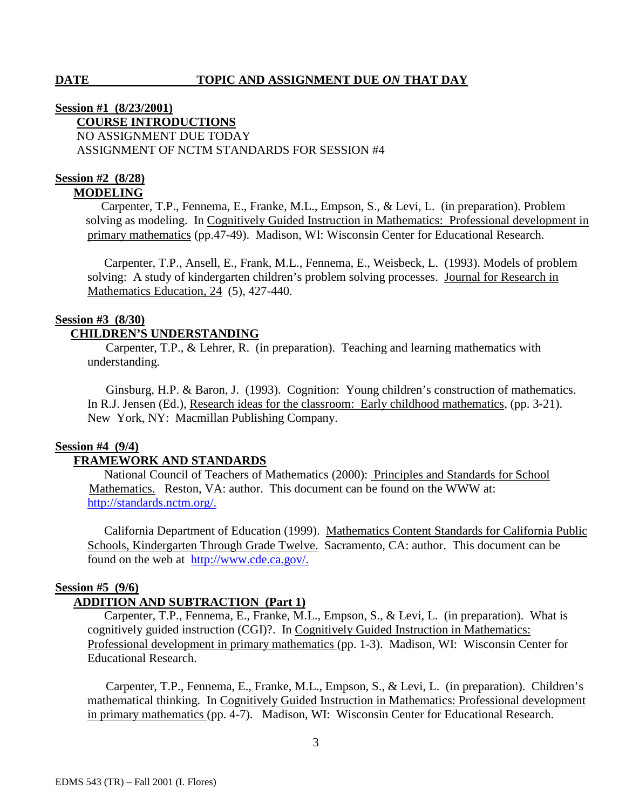# **Session #1 (8/23/2001) COURSE INTRODUCTIONS** NO ASSIGNMENT DUE TODAY ASSIGNMENT OF NCTM STANDARDS FOR SESSION #4

#### **Session #2 (8/28) MODELING**

Carpenter, T.P., Fennema, E., Franke, M.L., Empson, S., & Levi, L. (in preparation). Problem solving as modeling. In Cognitively Guided Instruction in Mathematics: Professional development in primary mathematics (pp.47-49). Madison, WI: Wisconsin Center for Educational Research.

 Carpenter, T.P., Ansell, E., Frank, M.L., Fennema, E., Weisbeck, L. (1993). Models of problem solving: A study of kindergarten children's problem solving processes. Journal for Research in Mathematics Education, 24 (5), 427-440.

# **Session #3 (8/30)**

# **CHILDREN'S UNDERSTANDING**

Carpenter, T.P., & Lehrer, R. (in preparation). Teaching and learning mathematics with understanding.

 Ginsburg, H.P. & Baron, J. (1993). Cognition: Young children's construction of mathematics. In R.J. Jensen (Ed.), Research ideas for the classroom: Early childhood mathematics, (pp. 3-21). New York, NY: Macmillan Publishing Company.

#### **Session #4 (9/4)**

# **FRAMEWORK AND STANDARDS**

 National Council of Teachers of Mathematics (2000): Principles and Standards for School Mathematics. Reston, VA: author. This document can be found on the WWW at: http://standards.nctm.org/.

 California Department of Education (1999). Mathematics Content Standards for California Public Schools, Kindergarten Through Grade Twelve. Sacramento, CA: author. This document can be found on the web at http://www.cde.ca.gov/.

# **Session #5 (9/6)**

# **ADDITION AND SUBTRACTION (Part 1)**

Carpenter, T.P., Fennema, E., Franke, M.L., Empson, S., & Levi, L. (in preparation). What is cognitively guided instruction (CGI)?. In Cognitively Guided Instruction in Mathematics: Professional development in primary mathematics (pp. 1-3). Madison, WI: Wisconsin Center for Educational Research.

 Carpenter, T.P., Fennema, E., Franke, M.L., Empson, S., & Levi, L. (in preparation). Children's mathematical thinking. In Cognitively Guided Instruction in Mathematics: Professional development in primary mathematics (pp. 4-7). Madison, WI: Wisconsin Center for Educational Research.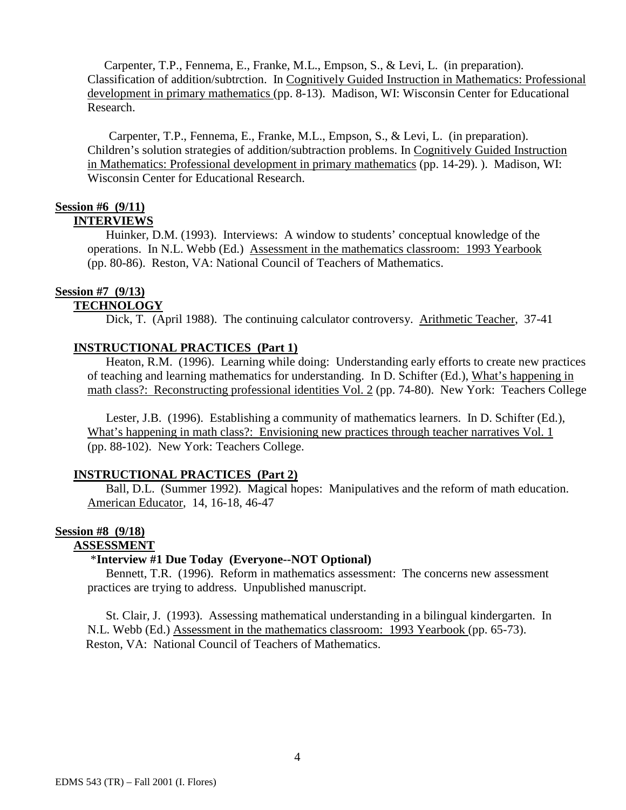Carpenter, T.P., Fennema, E., Franke, M.L., Empson, S., & Levi, L. (in preparation). Classification of addition/subtrction. In Cognitively Guided Instruction in Mathematics: Professional development in primary mathematics (pp. 8-13). Madison, WI: Wisconsin Center for Educational Research.

 Carpenter, T.P., Fennema, E., Franke, M.L., Empson, S., & Levi, L. (in preparation). Children's solution strategies of addition/subtraction problems. In Cognitively Guided Instruction in Mathematics: Professional development in primary mathematics (pp. 14-29). ). Madison, WI: Wisconsin Center for Educational Research.

#### **Session #6 (9/11) INTERVIEWS**

 Huinker, D.M. (1993). Interviews: A window to students' conceptual knowledge of the operations. In N.L. Webb (Ed.) Assessment in the mathematics classroom: 1993 Yearbook (pp. 80-86). Reston, VA: National Council of Teachers of Mathematics.

### **Session #7 (9/13)**

### **TECHNOLOGY**

Dick, T. (April 1988). The continuing calculator controversy. Arithmetic Teacher, 37-41

# **INSTRUCTIONAL PRACTICES (Part 1)**

Heaton, R.M. (1996). Learning while doing: Understanding early efforts to create new practices of teaching and learning mathematics for understanding. In D. Schifter (Ed.), What's happening in math class?: Reconstructing professional identities Vol. 2 (pp. 74-80). New York: Teachers College

 Lester, J.B. (1996). Establishing a community of mathematics learners. In D. Schifter (Ed.), What's happening in math class?: Envisioning new practices through teacher narratives Vol. 1 (pp. 88-102). New York: Teachers College.

# **INSTRUCTIONAL PRACTICES (Part 2)**

 Ball, D.L. (Summer 1992). Magical hopes: Manipulatives and the reform of math education. American Educator, 14, 16-18, 46-47

## **Session #8 (9/18)**

# **ASSESSMENT**

#### \***Interview #1 Due Today (Everyone--NOT Optional)**

Bennett, T.R. (1996). Reform in mathematics assessment: The concerns new assessment practices are trying to address. Unpublished manuscript.

 St. Clair, J. (1993). Assessing mathematical understanding in a bilingual kindergarten. In N.L. Webb (Ed.) Assessment in the mathematics classroom: 1993 Yearbook (pp. 65-73). Reston, VA: National Council of Teachers of Mathematics.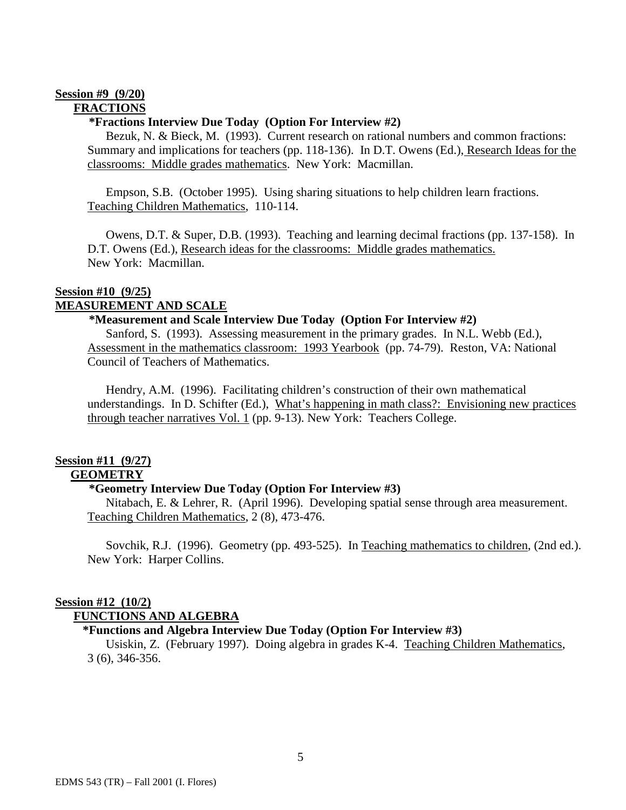#### **Session #9 (9/20) FRACTIONS**

#### **\*Fractions Interview Due Today (Option For Interview #2)**

 Bezuk, N. & Bieck, M. (1993). Current research on rational numbers and common fractions: Summary and implications for teachers (pp. 118-136). In D.T. Owens (Ed.), Research Ideas for the classrooms: Middle grades mathematics. New York: Macmillan.

 Empson, S.B. (October 1995). Using sharing situations to help children learn fractions. Teaching Children Mathematics, 110-114.

 Owens, D.T. & Super, D.B. (1993). Teaching and learning decimal fractions (pp. 137-158). In D.T. Owens (Ed.), Research ideas for the classrooms: Middle grades mathematics. New York: Macmillan.

# **Session #10 (9/25)**

# **MEASUREMENT AND SCALE**

#### **\*Measurement and Scale Interview Due Today (Option For Interview #2)**

 Sanford, S. (1993). Assessing measurement in the primary grades. In N.L. Webb (Ed.), Assessment in the mathematics classroom: 1993 Yearbook (pp. 74-79). Reston, VA: National Council of Teachers of Mathematics.

 Hendry, A.M. (1996). Facilitating children's construction of their own mathematical understandings. In D. Schifter (Ed.), What's happening in math class?: Envisioning new practices through teacher narratives Vol. 1 (pp. 9-13). New York: Teachers College.

#### **Session #11 (9/27) GEOMETRY**

### **\*Geometry Interview Due Today (Option For Interview #3)**

Nitabach, E. & Lehrer, R. (April 1996). Developing spatial sense through area measurement. Teaching Children Mathematics, 2 (8), 473-476.

Sovchik, R.J. (1996). Geometry (pp. 493-525). In Teaching mathematics to children, (2nd ed.). New York: Harper Collins.

# **Session #12 (10/2)**

### **FUNCTIONS AND ALGEBRA**

#### **\*Functions and Algebra Interview Due Today (Option For Interview #3)**

 Usiskin, Z. (February 1997). Doing algebra in grades K-4. Teaching Children Mathematics, 3 (6), 346-356.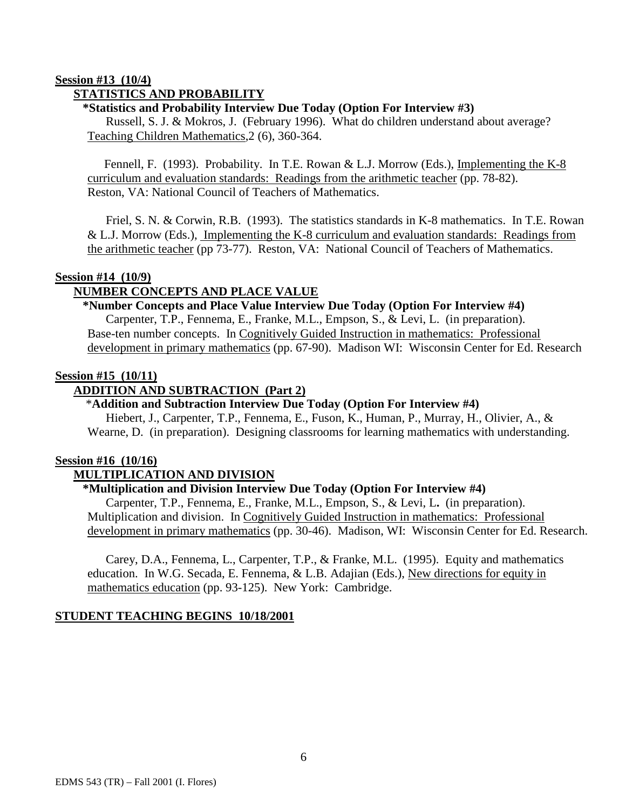# **Session #13 (10/4)**

# **STATISTICS AND PROBABILITY**

### **\*Statistics and Probability Interview Due Today (Option For Interview #3)**

 Russell, S. J. & Mokros, J. (February 1996). What do children understand about average? Teaching Children Mathematics,2 (6), 360-364.

 Fennell, F. (1993). Probability. In T.E. Rowan & L.J. Morrow (Eds.), Implementing the K-8 curriculum and evaluation standards: Readings from the arithmetic teacher (pp. 78-82). Reston, VA: National Council of Teachers of Mathematics.

 Friel, S. N. & Corwin, R.B. (1993). The statistics standards in K-8 mathematics. In T.E. Rowan & L.J. Morrow (Eds.), Implementing the K-8 curriculum and evaluation standards: Readings from the arithmetic teacher (pp 73-77). Reston, VA: National Council of Teachers of Mathematics.

#### **Session #14 (10/9)**

# **NUMBER CONCEPTS AND PLACE VALUE**

# **\*Number Concepts and Place Value Interview Due Today (Option For Interview #4)**

 Carpenter, T.P., Fennema, E., Franke, M.L., Empson, S., & Levi, L. (in preparation). Base-ten number concepts. In Cognitively Guided Instruction in mathematics: Professional development in primary mathematics (pp. 67-90). Madison WI: Wisconsin Center for Ed. Research

### **Session #15 (10/11)**

# **ADDITION AND SUBTRACTION (Part 2)**

#### \***Addition and Subtraction Interview Due Today (Option For Interview #4)**

Hiebert, J., Carpenter, T.P., Fennema, E., Fuson, K., Human, P., Murray, H., Olivier, A., & Wearne, D. (in preparation). Designing classrooms for learning mathematics with understanding.

### **Session #16 (10/16)**

# **MULTIPLICATION AND DIVISION**

### **\*Multiplication and Division Interview Due Today (Option For Interview #4)**

Carpenter, T.P., Fennema, E., Franke, M.L., Empson, S., & Levi, L**.** (in preparation). Multiplication and division. In Cognitively Guided Instruction in mathematics: Professional development in primary mathematics (pp. 30-46). Madison, WI: Wisconsin Center for Ed. Research.

Carey, D.A., Fennema, L., Carpenter, T.P., & Franke, M.L. (1995). Equity and mathematics education. In W.G. Secada, E. Fennema, & L.B. Adajian (Eds.), New directions for equity in mathematics education (pp. 93-125). New York: Cambridge.

#### **STUDENT TEACHING BEGINS 10/18/2001**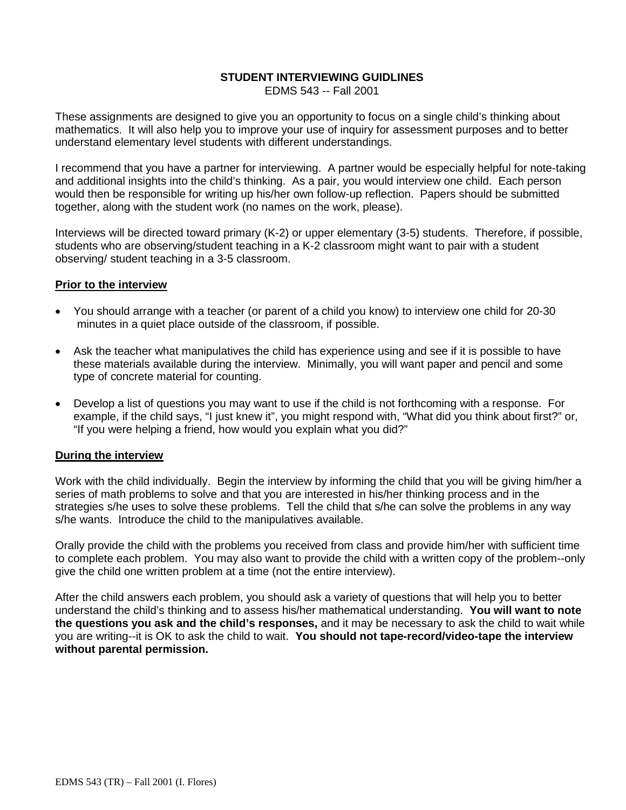### **STUDENT INTERVIEWING GUIDLINES**

EDMS 543 -- Fall 2001

These assignments are designed to give you an opportunity to focus on a single child's thinking about mathematics. It will also help you to improve your use of inquiry for assessment purposes and to better understand elementary level students with different understandings.

I recommend that you have a partner for interviewing. A partner would be especially helpful for note-taking and additional insights into the child's thinking. As a pair, you would interview one child. Each person would then be responsible for writing up his/her own follow-up reflection. Papers should be submitted together, along with the student work (no names on the work, please).

Interviews will be directed toward primary (K-2) or upper elementary (3-5) students. Therefore, if possible, students who are observing/student teaching in a K-2 classroom might want to pair with a student observing/ student teaching in a 3-5 classroom.

### **Prior to the interview**

- You should arrange with a teacher (or parent of a child you know) to interview one child for 20-30 minutes in a quiet place outside of the classroom, if possible.
- Ask the teacher what manipulatives the child has experience using and see if it is possible to have these materials available during the interview. Minimally, you will want paper and pencil and some type of concrete material for counting.
- Develop a list of questions you may want to use if the child is not forthcoming with a response. For example, if the child says, "I just knew it", you might respond with, "What did you think about first?" or, "If you were helping a friend, how would you explain what you did?"

# **During the interview**

Work with the child individually. Begin the interview by informing the child that you will be giving him/her a series of math problems to solve and that you are interested in his/her thinking process and in the strategies s/he uses to solve these problems. Tell the child that s/he can solve the problems in any way s/he wants. Introduce the child to the manipulatives available.

Orally provide the child with the problems you received from class and provide him/her with sufficient time to complete each problem. You may also want to provide the child with a written copy of the problem--only give the child one written problem at a time (not the entire interview).

After the child answers each problem, you should ask a variety of questions that will help you to better understand the child's thinking and to assess his/her mathematical understanding. **You will want to note the questions you ask and the child's responses,** and it may be necessary to ask the child to wait while you are writing--it is OK to ask the child to wait. **You should not tape-record/video-tape the interview without parental permission.**